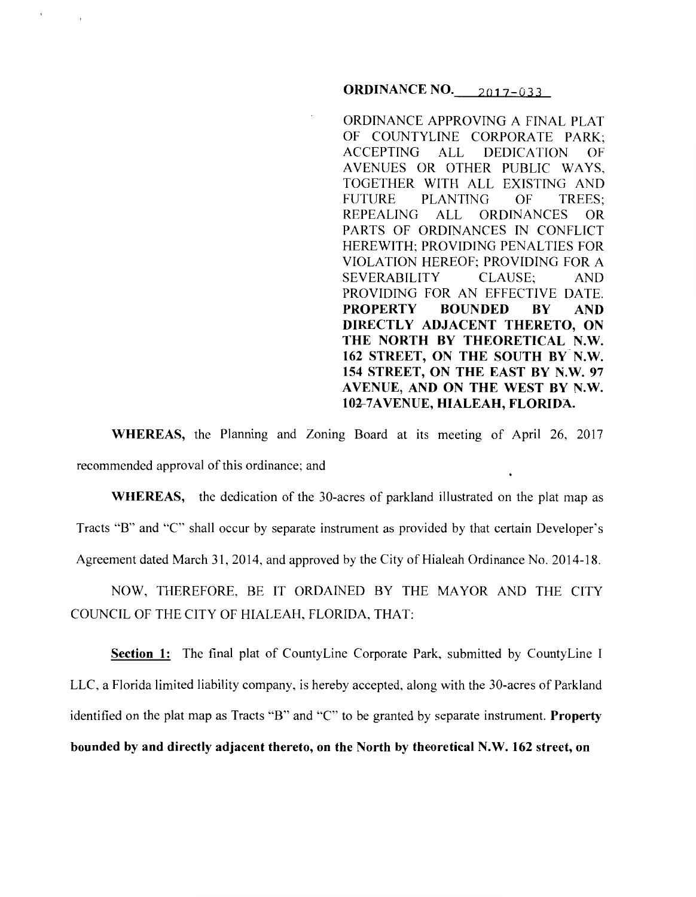**ORDINANCE NO.** 2017-033

ORDINANCE APPROVING A FINAL PLAT OF COUNTYLINE CORPORATE PARK; ACCEPTING ALL DEDICATION OF A VENUES OR OTHER PUBLIC WAYS, TOGETHER WITH ALL EXISTING AND FUTURE PLANTING OF TREES; REPEALING ALL ORDINANCES OR PARTS OF ORDINANCES IN CONFLICT HEREWITH; PROVIDING PENALTIES FOR VIOLATION HEREOF; PROVIDING FOR A SEVERABILITY CLAUSE; AND PROVIDING FOR AN EFFECTIVE DATE. **PROPERTY BOUNDED BY AND DIRECTLY ADJACENT THERETO, ON THE NORTH BY THEORETICAL N.W. 162 STREET, ON THE SOUTH BY N.W. 154 STREET, ON THE EAST BY N.W. 97 AVENUE, AND ON THE WEST BY N.W.**  10<del>2</del>-7 A VENUE, HIALEAH, FLORIDA.

**WHEREAS,** the Planning and Zoning Board at its meeting of April 26, 2017 recommended approval of this ordinance; and

**WHEREAS,** the dedication of the 30-acres of parkland illustrated on the plat map as Tracts "B" and "C" shall occur by separate instrument as provided by that certain Developer's Agreement dated March 31, 2014, and approved by the City of Hialeah Ordinance No. 2014-18.

NOW, THEREFORE, BE IT ORDAINED BY THE MAYOR AND THE CITY COUNCIL OF THE CITY OF HIALEAH, FLORIDA, THAT:

**Section 1:** The final plat of CountyLine Corporate Park, submitted by CountyLine I LLC, a Florida limited liability company, is hereby accepted, along with the 30-acres of Parkland identified on the plat map as Tracts "B" and "C" to be granted by separate instrument. **Property bounded by and directly adjacent thereto, on the North by theoretical N.W. 162 street, on**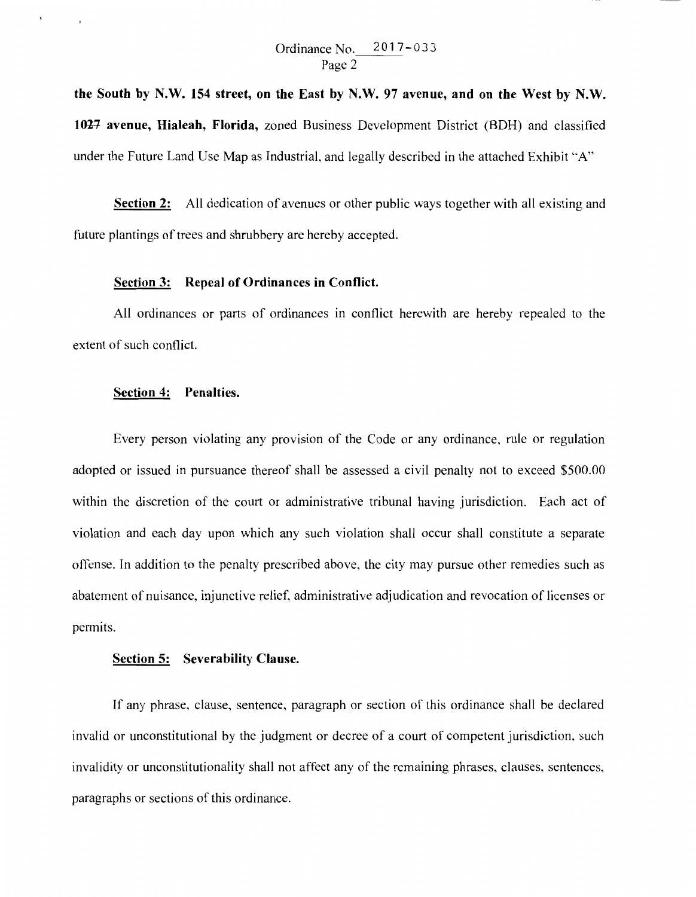**the South by N.W. 154 street, on the East by N.W. 97 avenue, and on the West by N.W.**  1027 avenue, Hialeah, Florida, zoned Business Development District (BDH) and classified under the Future Land Use Map as Industrial, and legally described in the attached Exhibit "A"

**Section 2:** All dedication of avenues or other public ways together with all existing and future plantings of trees and shrubbery are hereby accepted.

## **Section 3: Repeal of Ordinances in Conflict.**

All ordinances or parts of ordinances in conflict herewith are hereby repealed to the extent of such conflict.

## **Section 4: Penalties.**

 $\mathbf{r}$ 

Every person violating any provision of the Code or any ordinance, rule or regulation adopted or issued in pursuance thereof shall be assessed a civil penalty not to exceed \$500.00 within the discretion of the court or administrative tribunal having jurisdiction. Each act of violation and each day upon which any such violation shall occur shall constitute a separate offense. In addition to the penalty prescribed above, the city may pursue other remedies such as abatement of nuisance, injunctive relief, administrative adjudication and revocation of licenses or permits.

## **Section 5: Severability Clause.**

If any phrase, clause, sentence, paragraph or section of this ordinance shall be declared invalid or unconstitutional by the judgment or decree of a court of competent jurisdiction, such invalidity or unconstitutionality shall not affect any of the remaining phrases, clauses, sentences, paragraphs or sections of this ordinance.